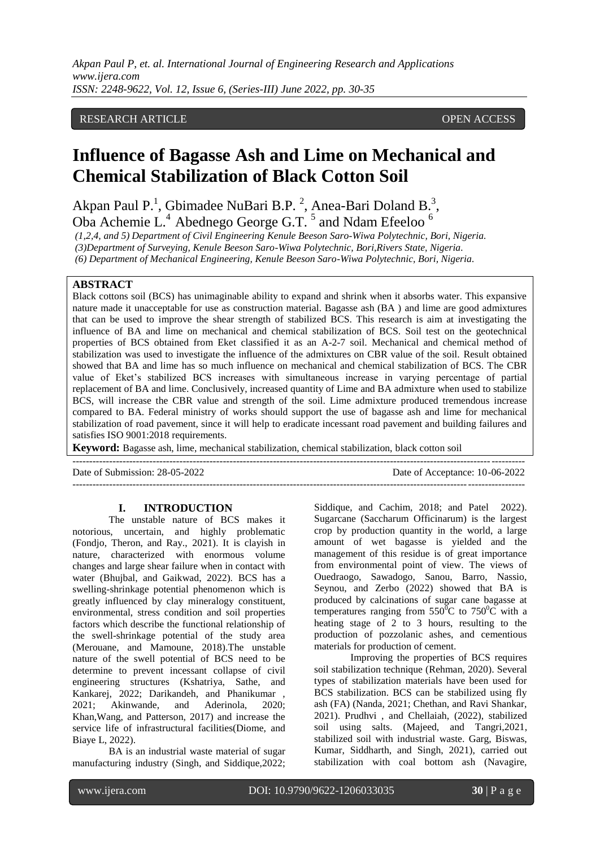## RESEARCH ARTICLE **CONSERVERS** OPEN ACCESS

# **Influence of Bagasse Ash and Lime on Mechanical and Chemical Stabilization of Black Cotton Soil**

Akpan Paul P.<sup>1</sup>, Gbimadee NuBari B.P.<sup>2</sup>, Anea-Bari Doland B.<sup>3</sup>, Oba Achemie L.<sup>4</sup> Abednego George G.T.<sup>5</sup> and Ndam Efeeloo<sup>6</sup>

*(1,2,4, and 5) Department of Civil Engineering Kenule Beeson Saro-Wiwa Polytechnic, Bori, Nigeria.*

*(3)Department of Surveying, Kenule Beeson Saro-Wiwa Polytechnic, Bori,Rivers State, Nigeria.*

*(6) Department of Mechanical Engineering, Kenule Beeson Saro-Wiwa Polytechnic, Bori, Nigeria.*

## **ABSTRACT**

Black cottons soil (BCS) has unimaginable ability to expand and shrink when it absorbs water. This expansive nature made it unacceptable for use as construction material. Bagasse ash (BA ) and lime are good admixtures that can be used to improve the shear strength of stabilized BCS. This research is aim at investigating the influence of BA and lime on mechanical and chemical stabilization of BCS. Soil test on the geotechnical properties of BCS obtained from Eket classified it as an A-2-7 soil. Mechanical and chemical method of stabilization was used to investigate the influence of the admixtures on CBR value of the soil. Result obtained showed that BA and lime has so much influence on mechanical and chemical stabilization of BCS. The CBR value of Eket's stabilized BCS increases with simultaneous increase in varying percentage of partial replacement of BA and lime. Conclusively, increased quantity of Lime and BA admixture when used to stabilize BCS, will increase the CBR value and strength of the soil. Lime admixture produced tremendous increase compared to BA. Federal ministry of works should support the use of bagasse ash and lime for mechanical stabilization of road pavement, since it will help to eradicate incessant road pavement and building failures and satisfies ISO 9001:2018 requirements.

**Keyword:** Bagasse ash, lime, mechanical stabilization, chemical stabilization, black cotton soil

--------------------------------------------------------------------------------------------------------------------------------------- Date of Submission: 28-05-2022 Date of Acceptance: 10-06-2022  $-1-\frac{1}{2}$ 

## **I. INTRODUCTION**

The unstable nature of BCS makes it notorious, uncertain, and highly problematic (Fondjo, Theron, and Ray., 2021). It is clayish in nature, characterized with enormous volume changes and large shear failure when in contact with water (Bhujbal, and Gaikwad, 2022). BCS has a swelling-shrinkage potential phenomenon which is greatly influenced by clay mineralogy constituent, environmental, stress condition and soil properties factors which describe the functional relationship of the swell-shrinkage potential of the study area (Merouane, and Mamoune, 2018).The unstable nature of the swell potential of BCS need to be determine to prevent incessant collapse of civil engineering structures (Kshatriya, Sathe, and Kankarej, 2022; Darikandeh, and Phanikumar , 2021; Akinwande, and Aderinola, 2020; Khan,Wang, and Patterson, 2017) and increase the service life of infrastructural facilities(Diome, and Biaye L, 2022).

BA is an industrial waste material of sugar manufacturing industry (Singh, and Siddique,2022; Siddique, and Cachim, 2018; and Patel 2022). Sugarcane (Saccharum Officinarum) is the largest crop by production quantity in the world, a large amount of wet bagasse is yielded and the management of this residue is of great importance from environmental point of view. The views of Ouedraogo, Sawadogo, Sanou, Barro, Nassio, Seynou, and Zerbo (2022) showed that BA is produced by calcinations of sugar cane bagasse at temperatures ranging from  $550^{\circ}$ C to  $750^{\circ}$ C with a heating stage of 2 to 3 hours, resulting to the production of pozzolanic ashes, and cementious materials for production of cement.

Improving the properties of BCS requires soil stabilization technique (Rehman, 2020). Several types of stabilization materials have been used for BCS stabilization. BCS can be stabilized using fly ash (FA) (Nanda, 2021; Chethan, and Ravi Shankar, 2021). Prudhvi , and Chellaiah, (2022), stabilized soil using salts. (Majeed, and Tangri,2021, stabilized soil with industrial waste. Garg, Biswas, Kumar, Siddharth, and Singh, 2021), carried out stabilization with coal bottom ash (Navagire,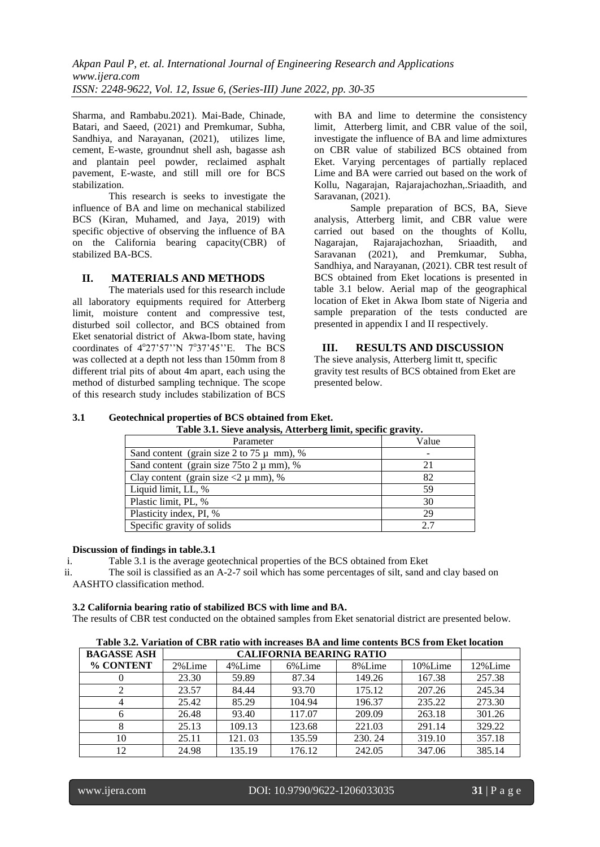Sharma, and Rambabu.2021). Mai-Bade, Chinade, Batari, and Saeed, (2021) and Premkumar, Subha, Sandhiya, and Narayanan, (2021), utilizes lime, cement, E-waste, groundnut shell ash, bagasse ash and plantain peel powder, reclaimed asphalt pavement, E-waste, and still mill ore for BCS stabilization.

This research is seeks to investigate the influence of BA and lime on mechanical stabilized BCS (Kiran, Muhamed, and Jaya, 2019) with specific objective of observing the influence of BA on the California bearing capacity(CBR) of stabilized BA-BCS.

## **II. MATERIALS AND METHODS**

The materials used for this research include all laboratory equipments required for Atterberg limit, moisture content and compressive test, disturbed soil collector, and BCS obtained from Eket senatorial district of Akwa-Ibom state, having coordinates of  $4^{\circ}27'57''N$   $7^{\circ}37'45''E$ . The BCS was collected at a depth not less than 150mm from 8 different trial pits of about 4m apart, each using the method of disturbed sampling technique. The scope of this research study includes stabilization of BCS

with BA and lime to determine the consistency limit, Atterberg limit, and CBR value of the soil, investigate the influence of BA and lime admixtures on CBR value of stabilized BCS obtained from Eket. Varying percentages of partially replaced Lime and BA were carried out based on the work of Kollu, Nagarajan, Rajarajachozhan,.Sriaadith, and Saravanan, (2021).

Sample preparation of BCS, BA, Sieve analysis, Atterberg limit, and CBR value were carried out based on the thoughts of Kollu, Nagarajan, Rajarajachozhan, Sriaadith, and Saravanan (2021), and Premkumar, Subha, Sandhiya, and Narayanan, (2021). CBR test result of BCS obtained from Eket locations is presented in table 3.1 below. Aerial map of the geographical location of Eket in Akwa Ibom state of Nigeria and sample preparation of the tests conducted are presented in appendix I and II respectively.

## **III. RESULTS AND DISCUSSION**

The sieve analysis, Atterberg limit tt, specific gravity test results of BCS obtained from Eket are presented below.

#### **3.1 Geotechnical properties of BCS obtained from Eket. Table 3.1. Sieve analysis, Atterberg limit, specific gravity.**

| Table 3.1. Sleve analysis, Attenberg mint, specific gravity. |       |  |  |  |  |  |
|--------------------------------------------------------------|-------|--|--|--|--|--|
| Parameter                                                    | Value |  |  |  |  |  |
| Sand content (grain size 2 to 75 $\mu$ mm), %                |       |  |  |  |  |  |
| Sand content (grain size $75$ to $2 \mu$ mm), %              | 21    |  |  |  |  |  |
| Clay content (grain size $<$ 2 µ mm), %                      | 82    |  |  |  |  |  |
| Liquid limit, LL, %                                          | 59    |  |  |  |  |  |
| Plastic limit, PL, %                                         | 30    |  |  |  |  |  |
| Plasticity index, PI, %                                      | 29    |  |  |  |  |  |
| Specific gravity of solids                                   | 2.7   |  |  |  |  |  |

## **Discussion of findings in table.3.1**

i. Table 3.1 is the average geotechnical properties of the BCS obtained from Eket

ii. The soil is classified as an A-2-7 soil which has some percentages of silt, sand and clay based on AASHTO classification method.

## **3.2 California bearing ratio of stabilized BCS with lime and BA.**

The results of CBR test conducted on the obtained samples from Eket senatorial district are presented below.

|  |  |  | Table 3.2. Variation of CBR ratio with increases BA and lime contents BCS from Eket location |
|--|--|--|----------------------------------------------------------------------------------------------|
|  |  |  |                                                                                              |

| <b>BAGASSE ASH</b> | <b>CALIFORNIA BEARING RATIO</b> |        |        |        |         |         |  |  |
|--------------------|---------------------------------|--------|--------|--------|---------|---------|--|--|
| % CONTENT          | 2%Lime                          | 4%Lime | 6%Lime | 8%Lime | 10%Lime | 12%Lime |  |  |
|                    | 23.30                           | 59.89  | 87.34  | 149.26 | 167.38  | 257.38  |  |  |
|                    | 23.57                           | 84.44  | 93.70  | 175.12 | 207.26  | 245.34  |  |  |
|                    | 25.42                           | 85.29  | 104.94 | 196.37 | 235.22  | 273.30  |  |  |
|                    | 26.48                           | 93.40  | 117.07 | 209.09 | 263.18  | 301.26  |  |  |
|                    | 25.13                           | 109.13 | 123.68 | 221.03 | 291.14  | 329.22  |  |  |
| 10                 | 25.11                           | 121.03 | 135.59 | 230.24 | 319.10  | 357.18  |  |  |
| 12                 | 24.98                           | 135.19 | 176.12 | 242.05 | 347.06  | 385.14  |  |  |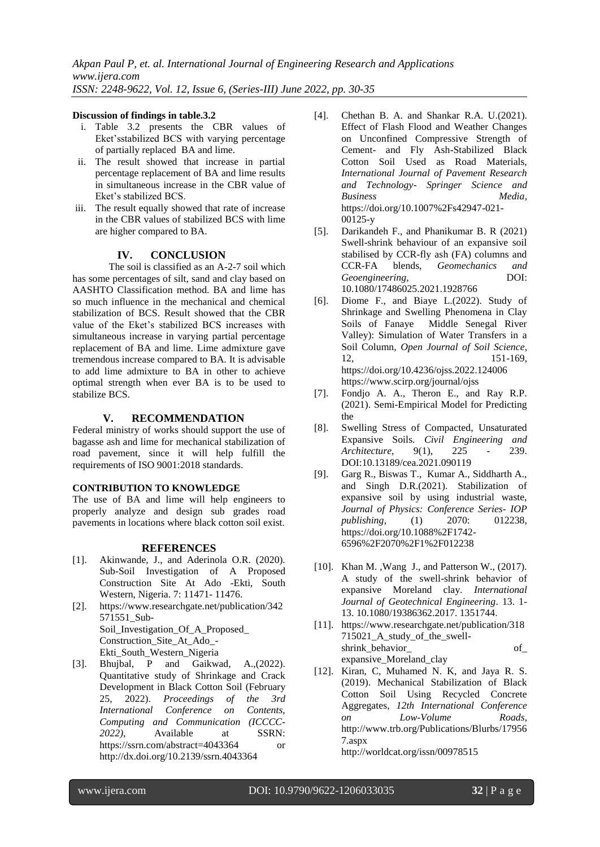#### **Discussion of findings in table.3.2**

- i. Table 3.2 presents the CBR values of Eket'sstabilized BCS with varying percentage of partially replaced BA and lime.
- ii. The result showed that increase in partial percentage replacement of BA and lime results in simultaneous increase in the CBR value of Eket's stabilized BCS.
- iii. The result equally showed that rate of increase in the CBR values of stabilized BCS with lime are higher compared to BA.

### **IV. CONCLUSION**

The soil is classified as an A-2-7 soil which has some percentages of silt, sand and clay based on AASHTO Classification method. BA and lime has so much influence in the mechanical and chemical stabilization of BCS. Result showed that the CBR value of the Eket's stabilized BCS increases with simultaneous increase in varying partial percentage replacement of BA and lime. Lime admixture gave tremendous increase compared to BA. It is advisable to add lime admixture to BA in other to achieve optimal strength when ever BA is to be used to stabilize BCS.

## **V. RECOMMENDATION**

Federal ministry of works should support the use of bagasse ash and lime for mechanical stabilization of road pavement, since it will help fulfill the requirements of ISO 9001:2018 standards.

### **CONTRIBUTION TO KNOWLEDGE**

The use of BA and lime will help engineers to properly analyze and design sub grades road pavements in locations where black cotton soil exist.

### **REFERENCES**

- [1]. Akinwande, J., and Aderinola O.R. (2020). Sub-Soil Investigation of A Proposed Construction Site At Ado -Ekti, South Western, Nigeria. 7: 11471- 11476.
- [2]. [https://www.researchgate.net/publication/342](https://www.researchgate.net/publication/342571551_Sub-Soil_Investigation_Of_A_Proposed_) [571551\\_Sub-](https://www.researchgate.net/publication/342571551_Sub-Soil_Investigation_Of_A_Proposed_)Soil Investigation Of A Proposed Construction\_Site\_At\_Ado\_- Ekti\_South\_Western\_Nigeria
- [3]. Bhujbal, P and Gaikwad, A.,(2022). Quantitative study of Shrinkage and Crack Development in Black Cotton Soil (February 25, 2022). *Proceedings of the 3rd International Conference on Contents, Computing and Communication (ICCCC-2022)*, Available at SSRN: https://ssrn.com/abstract=4043364 or http://dx.doi.org/10.2139/ssrn.4043364
- [4]. Chethan B. A. and Shankar R.A. U.(2021). Effect of Flash Flood and Weather Changes on Unconfined Compressive Strength of Cement- and Fly Ash-Stabilized Black Cotton Soil Used as Road Materials, *International Journal of Pavement Research and Technology- Springer Science and Business Media*, [https://doi.org/10.1007%2Fs42947-021-](https://doi.org/10.1007%2Fs42947-021-00125-y) [00125-y](https://doi.org/10.1007%2Fs42947-021-00125-y)
- [5]. Darikandeh F., and Phanikumar B. R (2021) Swell-shrink behaviour of an expansive soil stabilised by CCR-fly ash (FA) columns and CCR-FA blends, *Geomechanics and Geoengineering*, DOI: 10.1080/17486025.2021.1928766
- [6]. Diome F., and Biaye L.(2022). Study of Shrinkage and Swelling Phenomena in Clay Soils of Fanaye Middle Senegal River Valley): Simulation of Water Transfers in a Soil Column, *Open Journal of Soil Science*, 12, 151-169, https://doi.org/10.4236/ojss.2022.124006 <https://www.scirp.org/journal/ojss>
- [7]. Fondjo A. A., Theron E., and Ray R.P. (2021). Semi-Empirical Model for Predicting the
- [8]. Swelling Stress of Compacted, Unsaturated Expansive Soils. *Civil Engineering and Architecture*, 9(1), 225 - 239. DOI:10.13189/cea.2021.090119
- [9]. Garg R., Biswas T., Kumar A., Siddharth A., and Singh D.R.(2021). Stabilization of expansive soil by using industrial waste, *Journal of Physics: Conference Series- IOP publishing*, (1) 2070: 012238, [https://doi.org/10.1088%2F1742-](https://doi.org/10.1088%2F1742-6596%2F2070%2F1%2F012238) [6596%2F2070%2F1%2F012238](https://doi.org/10.1088%2F1742-6596%2F2070%2F1%2F012238)
- [10]. Khan M. ,Wang J., and Patterson W., (2017). A study of the swell-shrink behavior of expansive Moreland clay. *International Journal of Geotechnical Engineering*. 13. 1- 13. 10.1080/19386362.2017. 1351744.
- [11]. [https://www.researchgate.net/publication/318](https://www.researchgate.net/publication/318715021_A_study_of_the_swell-shrink_behavior_) [715021\\_A\\_study\\_of\\_the\\_swell](https://www.researchgate.net/publication/318715021_A_study_of_the_swell-shrink_behavior_)[shrink\\_behavior\\_](https://www.researchgate.net/publication/318715021_A_study_of_the_swell-shrink_behavior_) of\_ expansive\_Moreland\_clay
- [12]. Kiran, C, Muhamed N. K, and Jaya R. S. (2019). Mechanical Stabilization of Black Cotton Soil Using Recycled Concrete Aggregates, *12th International Conference on Low-Volume Roads*, http://www.trb.org/Publications/Blurbs/17956 7.aspx

<http://worldcat.org/issn/00978515>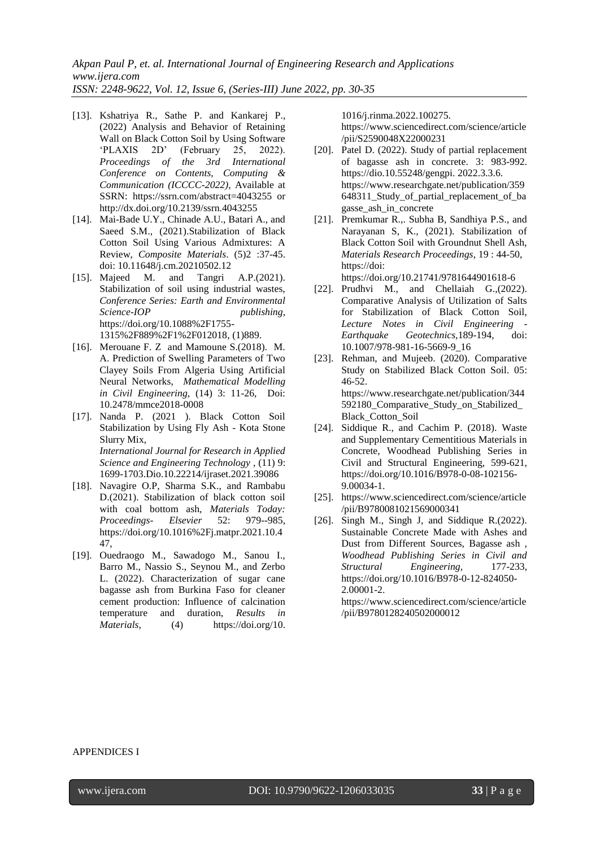- [13]. Kshatriya R., Sathe P. and Kankarej P., (2022) Analysis and Behavior of Retaining Wall on Black Cotton Soil by Using Software 'PLAXIS 2D' (February 25, 2022). *Proceedings of the 3rd International Conference on Contents, Computing & Communication (ICCCC-2022)*, Available at SSRN: https://ssrn.com/abstract=4043255 or <http://dx.doi.org/10.2139/ssrn.4043255>
- [14]. Mai-Bade U.Y., Chinade A.U., Batari A., and Saeed S.M., (2021).Stabilization of Black Cotton Soil Using Various Admixtures: A Review, *Composite Materials*. (5)2 :37-45. doi: 10.11648/j.cm.20210502.12
- [15]. Majeed M. and Tangri A.P.(2021). Stabilization of soil using industrial wastes, *Conference Series: Earth and Environmental Science-IOP publishing*, [https://doi.org/10.1088%2F1755-](https://doi.org/10.1088%2F1755-1315%2F889%2F1%2F012018) [1315%2F889%2F1%2F012018,](https://doi.org/10.1088%2F1755-1315%2F889%2F1%2F012018) (1)889.
- [16]. Merouane F. Z and Mamoune S.(2018). M. A. Prediction of Swelling Parameters of Two Clayey Soils From Algeria Using Artificial Neural Networks, *Mathematical Modelling in Civil Engineering,* (14) 3: 11-26, Doi: 10.2478/mmce2018-0008
- [17]. Nanda P. (2021 ). Black Cotton Soil Stabilization by Using Fly Ash - Kota Stone Slurry Mix, *International Journal for Research in Applied Science and Engineering Technology* , (11) 9: 1699-1703.Dio.10.22214/ijraset.2021.39086
- [18]. Navagire O.P, Sharma S.K., and Rambabu D.(2021). Stabilization of black cotton soil with coal bottom ash, *Materials Today: Proceedings- Elsevier* 52: 979--985*,*  [https://doi.org/10.1016%2Fj.matpr.2021.10.4](https://doi.org/10.1016%2Fj.matpr.2021.10.447) [47,](https://doi.org/10.1016%2Fj.matpr.2021.10.447)
- [19]. Ouedraogo M., Sawadogo M., Sanou I., Barro M., Nassio S., Seynou M., and Zerbo L. (2022). Characterization of sugar cane bagasse ash from Burkina Faso for cleaner cement production: Influence of calcination temperature and duration, *Results in*<br> *Materials*, (4) https://doi.org/10. *Materials*, (4) [https://doi.org/10.](https://doi.org/10)

1016/j.rinma.2022.100275.

[https://www.sciencedirect.com/science/article](https://www.sciencedirect.com/science/article/pii/S2590048X22000231) [/pii/S2590048X22000231](https://www.sciencedirect.com/science/article/pii/S2590048X22000231)

- [20]. Patel D. (2022). Study of partial replacement of bagasse ash in concrete. 3: 983-992. https://dio.10.55248/gengpi. 2022.3.3.6. [https://www.researchgate.net/publication/359](https://www.researchgate.net/publication/359648311_Study_of_partial_replacement_of_bagasse_) [648311\\_Study\\_of\\_partial\\_replacement\\_of\\_ba](https://www.researchgate.net/publication/359648311_Study_of_partial_replacement_of_bagasse_) [gasse\\_a](https://www.researchgate.net/publication/359648311_Study_of_partial_replacement_of_bagasse_)sh\_in\_concrete
- [21]. Premkumar R.,. Subha B, Sandhiya P.S., and Narayanan S, K., (2021). Stabilization of Black Cotton Soil with Groundnut Shell Ash, *Materials Research Proceedings*, 19 : 44-50, https://doi: https://doi.org/10.21741/9781644901618-6

- [22]. Prudhvi M., and Chellaiah G., (2022). Comparative Analysis of Utilization of Salts for Stabilization of Black Cotton Soil, *Lecture Notes in Civil Engineering - Earthquake Geotechnics,*189-194, doi: 10.1007/978-981-16-5669-9\_16
- [23]. Rehman, and Mujeeb. (2020). Comparative Study on Stabilized Black Cotton Soil. 05: 46-52. [https://www.researchgate.net/publication/344](https://www.researchgate.net/publication/344592180_Comparative_Study_on_Stabilized_Black_) [592180\\_Comparative\\_Study\\_on\\_Stabilized\\_](https://www.researchgate.net/publication/344592180_Comparative_Study_on_Stabilized_Black_) [Black\\_C](https://www.researchgate.net/publication/344592180_Comparative_Study_on_Stabilized_Black_)otton\_Soil
- [24]. Siddique R., and Cachim P. (2018). Waste and Supplementary Cementitious Materials in Concrete, Woodhead Publishing Series in Civil and Structural Engineering, 599-621, https://doi.org/10.1016/B978-0-08-102156- 9.00034-1.
- [25]. https://www.sciencedirect.com/science/article /pii/B9780081021569000341
- [26]. Singh M., Singh J, and Siddique R.(2022). Sustainable Concrete Made with Ashes and Dust from Different Sources, Bagasse ash *, Woodhead Publishing Series in Civil and Structural Engineering*, 177-233, https://doi.org/10.1016/B978-0-12-824050- 2.00001-2.

https://www.sciencedirect.com/science/article /pii/B9780128240502000012

#### APPENDICES I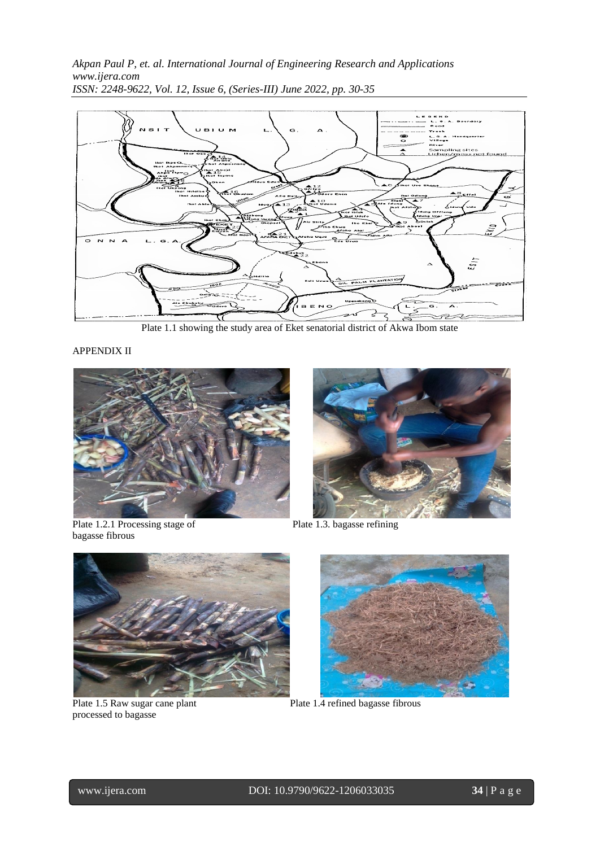

Plate 1.1 showing the study area of Eket senatorial district of Akwa Ibom state

APPENDIX II



bagasse fibrous





processed to bagasse



Plate 1.5 Raw sugar cane plant Plate 1.4 refined bagasse fibrous